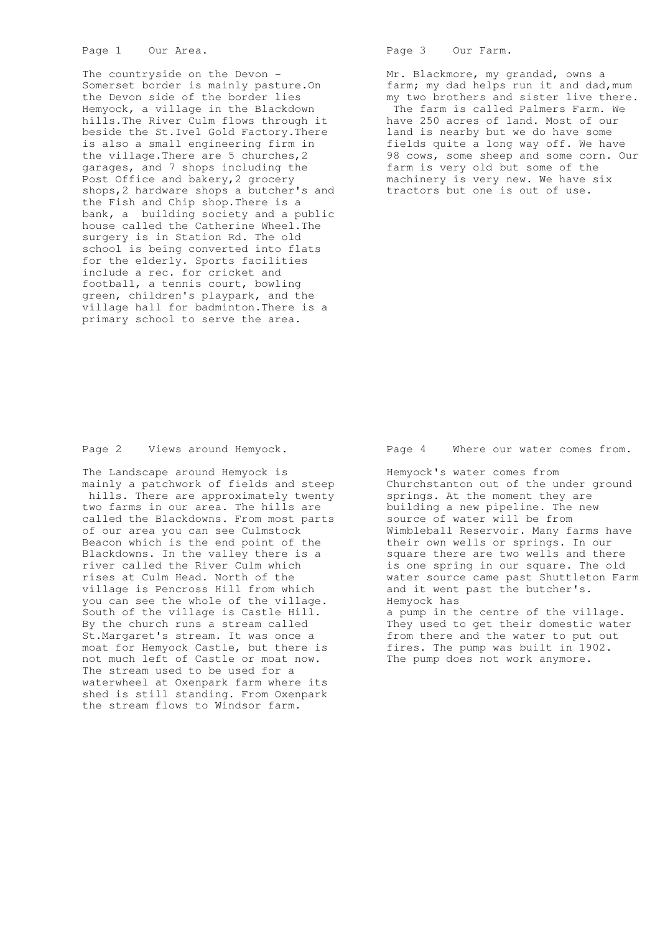The countryside on the Devon - Somerset border is mainly pasture.On the Devon side of the border lies Hemyock, a village in the Blackdown hills.The River Culm flows through it beside the St.Ivel Gold Factory.There is also a small engineering firm in the village.There are 5 churches,2 garages, and 7 shops including the Post Office and bakery,2 grocery shops,2 hardware shops a butcher's and the Fish and Chip shop.There is a bank, a building society and a public house called the Catherine Wheel.The surgery is in Station Rd. The old school is being converted into flats for the elderly. Sports facilities include a rec. for cricket and football, a tennis court, bowling green, children's playpark, and the village hall for badminton.There is a primary school to serve the area.

Page 3 Our Farm.

 Mr. Blackmore, my grandad, owns a farm; my dad helps run it and dad, mum my two brothers and sister live there. The farm is called Palmers Farm. We have 250 acres of land. Most of our land is nearby but we do have some fields quite a long way off. We have 98 cows, some sheep and some corn. Our farm is very old but some of the machinery is very new. We have six tractors but one is out of use.

Page 2 Views around Hemyock.

 The Landscape around Hemyock is mainly a patchwork of fields and steep hills. There are approximately twenty two farms in our area. The hills are called the Blackdowns. From most parts of our area you can see Culmstock Beacon which is the end point of the Blackdowns. In the valley there is a river called the River Culm which rises at Culm Head. North of the village is Pencross Hill from which you can see the whole of the village. South of the village is Castle Hill. By the church runs a stream called St.Margaret's stream. It was once a moat for Hemyock Castle, but there is not much left of Castle or moat now. The stream used to be used for a waterwheel at Oxenpark farm where its shed is still standing. From Oxenpark the stream flows to Windsor farm.

Page 4 Where our water comes from.

 Hemyock's water comes from Churchstanton out of the under ground springs. At the moment they are building a new pipeline. The new source of water will be from Wimbleball Reservoir. Many farms have their own wells or springs. In our square there are two wells and there is one spring in our square. The old water source came past Shuttleton Farm and it went past the butcher's. Hemyock has a pump in the centre of the village.

 They used to get their domestic water from there and the water to put out fires. The pump was built in 1902. The pump does not work anymore.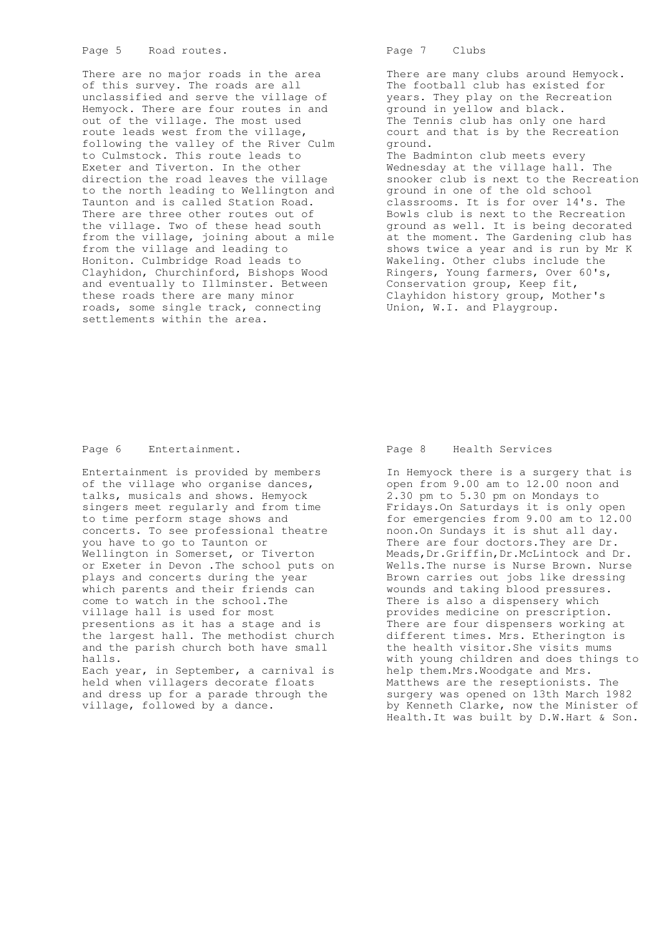There are no major roads in the area of this survey. The roads are all unclassified and serve the village of Hemyock. There are four routes in and out of the village. The most used route leads west from the village, following the valley of the River Culm to Culmstock. This route leads to Exeter and Tiverton. In the other direction the road leaves the village to the north leading to Wellington and Taunton and is called Station Road. There are three other routes out of the village. Two of these head south from the village, joining about a mile from the village and leading to Honiton. Culmbridge Road leads to Clayhidon, Churchinford, Bishops Wood and eventually to Illminster. Between these roads there are many minor roads, some single track, connecting settlements within the area.

Page 7 Clubs

 There are many clubs around Hemyock. The football club has existed for years. They play on the Recreation ground in yellow and black. The Tennis club has only one hard court and that is by the Recreation ground. The Badminton club meets every Wednesday at the village hall. The snooker club is next to the Recreation ground in one of the old school classrooms. It is for over 14's. The Bowls club is next to the Recreation ground as well. It is being decorated at the moment. The Gardening club has shows twice a year and is run by Mr K Wakeling. Other clubs include the Ringers, Young farmers, Over 60's, Conservation group, Keep fit, Clayhidon history group, Mother's Union, W.I. and Playgroup.

# Page 6 Entertainment.

 Entertainment is provided by members of the village who organise dances, talks, musicals and shows. Hemyock singers meet regularly and from time to time perform stage shows and concerts. To see professional theatre you have to go to Taunton or Wellington in Somerset, or Tiverton or Exeter in Devon .The school puts on plays and concerts during the year which parents and their friends can come to watch in the school.The village hall is used for most presentions as it has a stage and is the largest hall. The methodist church and the parish church both have small halls. Each year, in September, a carnival is

 held when villagers decorate floats and dress up for a parade through the village, followed by a dance.

### Page 8 Health Services

 In Hemyock there is a surgery that is open from 9.00 am to 12.00 noon and 2.30 pm to 5.30 pm on Mondays to Fridays.On Saturdays it is only open for emergencies from 9.00 am to 12.00 noon.On Sundays it is shut all day. There are four doctors.They are Dr. Meads,Dr.Griffin,Dr.McLintock and Dr. Wells.The nurse is Nurse Brown. Nurse Brown carries out jobs like dressing wounds and taking blood pressures. There is also a dispensery which provides medicine on prescription. There are four dispensers working at different times. Mrs. Etherington is the health visitor.She visits mums with young children and does things to help them.Mrs.Woodgate and Mrs. Matthews are the reseptionists. The surgery was opened on 13th March 1982 by Kenneth Clarke, now the Minister of Health.It was built by D.W.Hart & Son.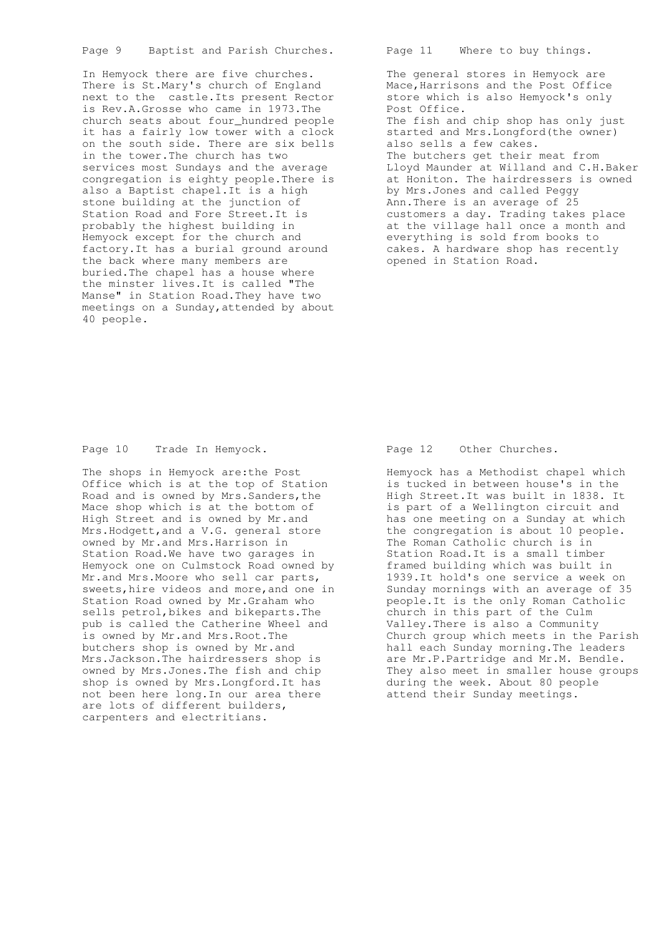Page 9 Baptist and Parish Churches.

 In Hemyock there are five churches. There is St.Mary's church of England next to the castle.Its present Rector is Rev.A.Grosse who came in 1973.The church seats about four\_hundred people it has a fairly low tower with a clock on the south side. There are six bells in the tower.The church has two services most Sundays and the average congregation is eighty people.There is also a Baptist chapel.It is a high stone building at the junction of Station Road and Fore Street.It is probably the highest building in Hemyock except for the church and factory.It has a burial ground around the back where many members are buried.The chapel has a house where the minster lives.It is called "The Manse" in Station Road.They have two meetings on a Sunday,attended by about 40 people.

Page 11 Where to buy things.

 The general stores in Hemyock are Mace, Harrisons and the Post Office store which is also Hemyock's only Post Office. The fish and chip shop has only just started and Mrs.Longford(the owner) also sells a few cakes. The butchers get their meat from Lloyd Maunder at Willand and C.H.Baker at Honiton. The hairdressers is owned by Mrs.Jones and called Peggy Ann.There is an average of 25 customers a day. Trading takes place at the village hall once a month and everything is sold from books to cakes. A hardware shop has recently opened in Station Road.

# Page 10 Trade In Hemyock.

 The shops in Hemyock are:the Post Office which is at the top of Station Road and is owned by Mrs.Sanders,the Mace shop which is at the bottom of High Street and is owned by Mr.and Mrs.Hodgett,and a V.G. general store owned by Mr.and Mrs.Harrison in Station Road.We have two garages in Hemyock one on Culmstock Road owned by Mr.and Mrs. Moore who sell car parts, sweets,hire videos and more,and one in Station Road owned by Mr.Graham who sells petrol,bikes and bikeparts.The pub is called the Catherine Wheel and is owned by Mr.and Mrs.Root.The butchers shop is owned by Mr.and Mrs.Jackson.The hairdressers shop is owned by Mrs.Jones.The fish and chip shop is owned by Mrs.Longford.It has not been here long.In our area there are lots of different builders, carpenters and electritians.

### Page 12 Other Churches.

 Hemyock has a Methodist chapel which is tucked in between house's in the High Street.It was built in 1838. It is part of a Wellington circuit and has one meeting on a Sunday at which the congregation is about 10 people. The Roman Catholic church is in Station Road.It is a small timber framed building which was built in 1939.It hold's one service a week on Sunday mornings with an average of 35 people.It is the only Roman Catholic church in this part of the Culm Valley.There is also a Community Church group which meets in the Parish hall each Sunday morning.The leaders are Mr.P.Partridge and Mr.M. Bendle. They also meet in smaller house groups during the week. About 80 people attend their Sunday meetings.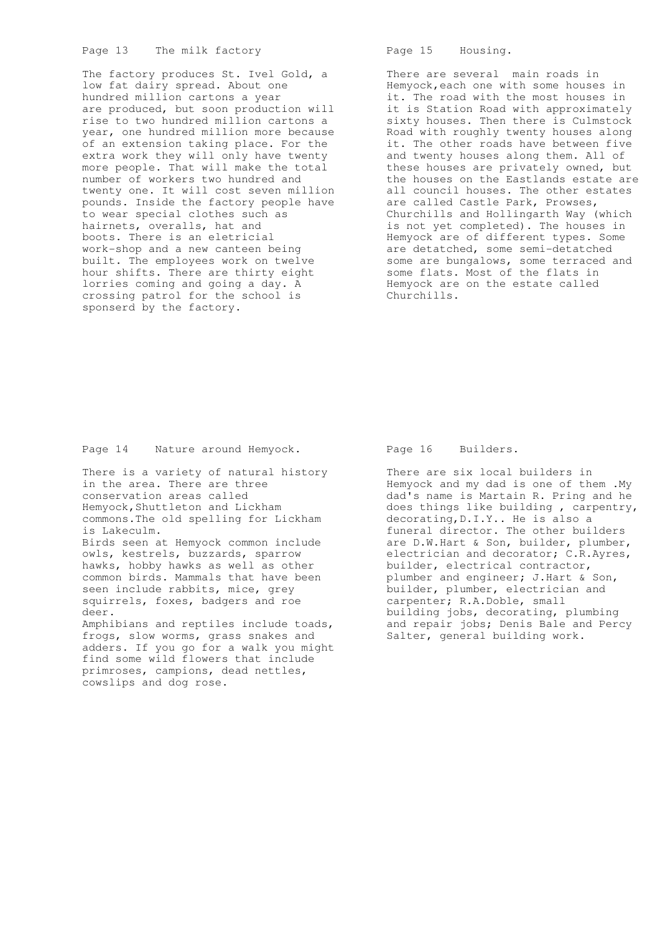## Page 13 The milk factory

 The factory produces St. Ivel Gold, a low fat dairy spread. About one hundred million cartons a year are produced, but soon production will rise to two hundred million cartons a year, one hundred million more because of an extension taking place. For the extra work they will only have twenty more people. That will make the total number of workers two hundred and twenty one. It will cost seven million pounds. Inside the factory people have to wear special clothes such as hairnets, overalls, hat and boots. There is an eletricial work-shop and a new canteen being built. The employees work on twelve hour shifts. There are thirty eight lorries coming and going a day. A crossing patrol for the school is sponserd by the factory.

Page 15 Housing.

 There are several main roads in Hemyock,each one with some houses in it. The road with the most houses in it is Station Road with approximately sixty houses. Then there is Culmstock Road with roughly twenty houses along it. The other roads have between five and twenty houses along them. All of these houses are privately owned, but the houses on the Eastlands estate are all council houses. The other estates are called Castle Park, Prowses, Churchills and Hollingarth Way (which is not yet completed). The houses in Hemyock are of different types. Some are detatched, some semi-detatched some are bungalows, some terraced and some flats. Most of the flats in Hemyock are on the estate called Churchills.

Page 14 Nature around Hemyock.

 There is a variety of natural history in the area. There are three conservation areas called Hemyock,Shuttleton and Lickham commons.The old spelling for Lickham is Lakeculm. Birds seen at Hemyock common include owls, kestrels, buzzards, sparrow hawks, hobby hawks as well as other common birds. Mammals that have been seen include rabbits, mice, grey squirrels, foxes, badgers and roe deer. Amphibians and reptiles include toads, frogs, slow worms, grass snakes and adders. If you go for a walk you might find some wild flowers that include primroses, campions, dead nettles, cowslips and dog rose.

Page 16 Builders.

 There are six local builders in Hemyock and my dad is one of them . My dad's name is Martain R. Pring and he does things like building , carpentry, decorating,D.I.Y.. He is also a funeral director. The other builders are D.W.Hart & Son, builder, plumber, electrician and decorator; C.R.Ayres, builder, electrical contractor, plumber and engineer; J.Hart & Son, builder, plumber, electrician and carpenter; R.A.Doble, small building jobs, decorating, plumbing and repair jobs; Denis Bale and Percy Salter, general building work.